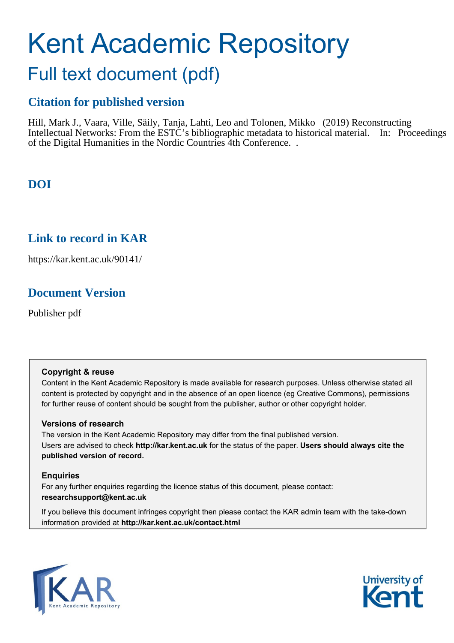# Kent Academic Repository

## Full text document (pdf)

## **Citation for published version**

Hill, Mark J., Vaara, Ville, Säily, Tanja, Lahti, Leo and Tolonen, Mikko (2019) Reconstructing Intellectual Networks: From the ESTC's bibliographic metadata to historical material. In: Proceedings of the Digital Humanities in the Nordic Countries 4th Conference. .

## **DOI**

## **Link to record in KAR**

https://kar.kent.ac.uk/90141/

## **Document Version**

Publisher pdf

#### **Copyright & reuse**

Content in the Kent Academic Repository is made available for research purposes. Unless otherwise stated all content is protected by copyright and in the absence of an open licence (eg Creative Commons), permissions for further reuse of content should be sought from the publisher, author or other copyright holder.

#### **Versions of research**

The version in the Kent Academic Repository may differ from the final published version. Users are advised to check **http://kar.kent.ac.uk** for the status of the paper. **Users should always cite the published version of record.**

#### **Enquiries**

For any further enquiries regarding the licence status of this document, please contact: **researchsupport@kent.ac.uk**

If you believe this document infringes copyright then please contact the KAR admin team with the take-down information provided at **http://kar.kent.ac.uk/contact.html**



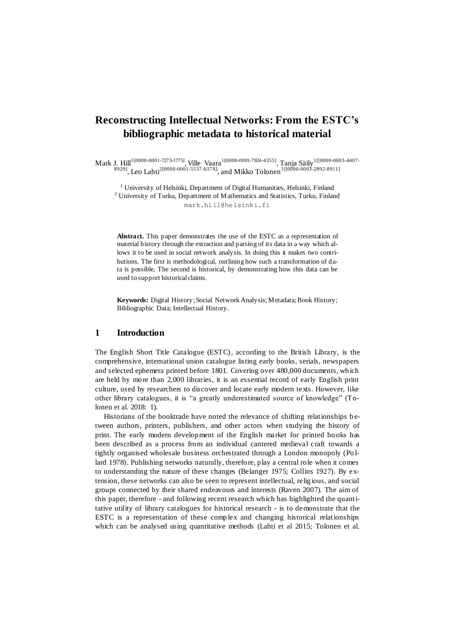### **Reconstructing Intellectual Networks: From the ESTC's bibliographic metadata to historical material**

Mark J. Hill<sup>1 [0000-0001-7273-1775]</sup>, Ville Vaara<sup>1 [0000-0001-7924-4355]</sup>, Tanja Säily <sup>1 [[0000-0003-4407-</sup>  $^{8929]}$ , Leo Lahti<sup>2[0000-0001-5537-637X]</sup>, and Mikko Tolonen<sup>1[[0000-0003-2892-8911]</sup>

<sup>1</sup> University of Helsinki, Department of Digital Humanities, Helsinki, Finland <sup>2</sup> University of Turku, Department of Mathematics and Statistics, Turku, Finland mark.hill@helsinki.fi

**Abstract.** This paper demonstrates the use of the ESTC as a representation of material history through the extraction and parsing of its data in a way which allows it to be used in social network analysis. In doing this it makes two contributions. The first is methodological, outlining how such a transformation of data is possible. The second is historical, by demonstrating how this data can be used to support historical claims.

**Keywords:** Digital History; Social Network Analysis; Metadata; Book History; Bibliographic Data; Intellectual History.

#### **1 Introduction**

The English Short Title Catalogue (ESTC), according to the British Library, is the comprehensive, international union catalogue listing early books, serials, newspapers and selected ephemera printed before 1801. Covering over 480,000 documents, which are held by more than 2,000 libraries, it is an essential record of early English print culture, used by researchers to discover and locate early modern texts. However, like other library catalogues, it is "a greatly underestimated source of knowledge" (Tolonen et al. 2018: 1).

Historians of the booktrade have noted the relevance of shifting relationships between authors, printers, publishers, and other actors when studying the history of print. The early modern development of the English market for printed bo oks has been described as a process from an individual cantered medieval craft towards a tightly organised wholesale business orchestrated through a London monopoly (Po llard 1978). Publishing networks naturally, therefore, play a central role when it comes to understanding the nature of these changes (Belanger 1975; Collins 1927). By extension, these networks can also be seen to represent intellectual, religious, and social groups connected by their shared endeavours and interests (Raven 2007). The aim of this paper, therefore - and following recent research which has highlighted the quantitative utility of library catalogues for historical research - is to demonstrate that the ESTC is a representation of these complex and changing historical relationships which can be analysed using quantitative methods (Lahti et al 2015; Tolonen et al.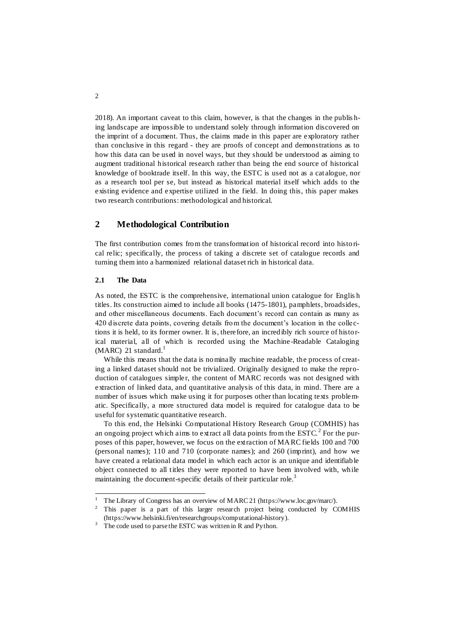2018). An important caveat to this claim, however, is that the changes in the publis hing landscape are impossible to understand solely through information discovered on the imprint of a document. Thus, the claims made in this paper are exploratory rather than conclusive in this regard - they are proofs of concept and demonstrations as to how this data can be used in novel ways, but they should be understood as aiming to augment traditional historical research rather than being the end source of historical knowledge of booktrade itself. In this way, the ESTC is used not as a cat alogue, nor as a research tool per se, but instead as historical material itself which adds to the existing evidence and expertise utilized in the field. In doing this, this paper makes two research contributions: methodological and historical.

#### **2 Methodological Contribution**

The first contribution comes from the transformation of historical record into histo rical relic; specifically, the process of taking a discrete set of catalogue records and turning them into a harmonized relational dataset rich in historical data.

#### **2.1 The Data**

l

As noted, the ESTC is the comprehensive, international union catalogue for Englis h titles. Its construction aimed to include all books (1475-1801), pamphlets, broadsides, and other miscellaneous documents. Each document's record can contain as many as 420 discrete data points, covering details from the document's location in the colle ctions it is held, to its former owner. It is, therefore, an incredibly rich source of historical material, all of which is recorded using the Machine-Readable Cataloging  $(MARC)$  21 standard.<sup>1</sup>

While this means that the data is nominally machine readable, the process of creating a linked dataset should not be trivialized. Originally designed to make the reproduction of catalogues simpler, the content of MARC records was not designed with extraction of linked data, and quantitative analysis of this data, in mind. There are a number of issues which make using it for purposes other than locating texts problematic. Specifically, a more structured data model is required for catalogue data to be useful for systematic quantitative research.

To this end, the Helsinki Computational History Research Group (COMHIS) has an ongoing project which aims to extract all data points from the  $\mathrm{ESTC.}^2$  For the purposes of this paper, however, we focus on the extraction of MARC fields 100 and 700 (personal names); 110 and 710 (corporate names); and 260 (imprint), and how we have created a relational data model in which each actor is an unique and identifiable object connected to all titles they were reported to have been involved with, while maintaining the document-specific details of their particular role.<sup>3</sup>

<sup>&</sup>lt;sup>1</sup> The Library of Congress has an overview of MARC 21 (https://www.loc.gov/marc/).<br><sup>2</sup> This paper, is a part, of this larger research project being conducted by G

<sup>2</sup> This paper is a part of this larger research project being conducted by COMHIS (https://www.helsinki.fi/en/researchgroups/computational-history).

<sup>&</sup>lt;sup>3</sup> The code used to parse the ESTC was written in R and Python.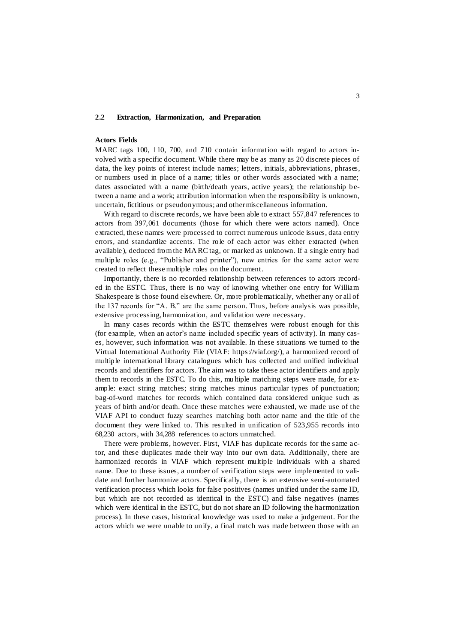#### **2.2 Extraction, Harmonization, and Preparation**

#### **Actors Fields**

MARC tags 100, 110, 700, and 710 contain information with regard to actors involved with a specific document. While there may be as many as 20 discrete pieces of data, the key points of interest include names; letters, initials, abbreviations, phrases, or numbers used in place of a name; titles or other words associated with a name; dates associated with a name (birth/death years, active years); the relationship between a name and a work; attribution information when the responsibility is unknown, uncertain, fictitious or pseudonymous; and other miscellaneous information.

With regard to discrete records, we have been able to extract 557,847 references to actors from 397,061 documents (those for which there were actors named). Once extracted, these names were processed to correct numerous unicode issues, data entry errors, and standardize accents. The role of each actor was either extracted (when available), deduced from the MA RC tag, or marked as unknown. If a single entry had multiple roles (e.g., "Publisher and printer"), new entries for the same actor were created to reflect these multiple roles on the document.

Importantly, there is no recorded relationship between references to actors recorded in the ESTC. Thus, there is no way of knowing whether one entry for William Shakespeare is those found elsewhere. Or, more problematically, whether any or all of the 137 records for "A. B." are the same person. Thus, before analysis was possible, extensive processing, harmonization, and validation were necessary.

In many cases records within the ESTC themselves were robust enough for this (for example, when an actor's name included specific years of activity). In many cases, however, such information was not available. In these situations we turned to the Virtual International Authority File (VIAF: https://viaf.org/), a harmonized record of multiple international library catalogues which has collected and unified individual records and identifiers for actors. The aim was to take these actor identifiers and apply them to records in the ESTC. To do this, mu ltiple matching steps were made, for example: exact string matches; string matches minus particular types of punctuation; bag-of-word matches for records which contained data considered unique such as years of birth and/or death. Once these matches were exhausted, we made use of the VIAF API to conduct fuzzy searches matching both actor name and the title of the document they were linked to. This resulted in unification of 523,955 records into 68,230 actors, with 34,288 references to actors unmatched.

There were problems, however. First, VIAF has duplicate records for the same actor, and these duplicates made their way into our own data. Additionally, there are harmonized records in VIAF which represent multiple individuals with a shared name. Due to these issues, a number of verification steps were implemented to validate and further harmonize actors. Specifically, there is an extensive semi-automated verification process which looks for false positives (names unified under the same ID, but which are not recorded as identical in the ESTC) and false negatives (names which were identical in the ESTC, but do not share an ID following the harmonization process). In these cases, historical knowledge was used to make a judgement. For the actors which we were unable to unify, a final match was made between those with an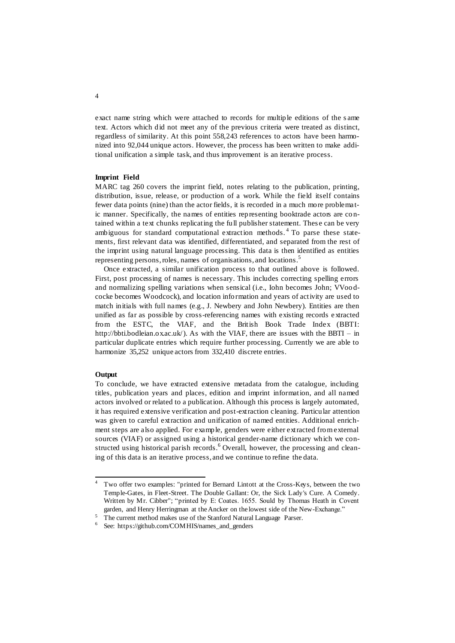exact name string which were attached to records for multiple editions of the s ame text. Actors which did not meet any of the previous criteria were treated as distinct, regardless of similarity. At this point 558,243 references to actors have been harmonized into 92,044 unique actors. However, the process has been written to make additional unification a simple task, and thus improvement is an iterative process.

#### **Imprint Field**

MARC tag 260 covers the imprint field, notes relating to the publication, printing, distribution, issue, release, or production of a work. While the field itself contains fewer data points (nine) than the actor fields, it is recorded in a much more problematic manner. Specifically, the names of entities representing booktrade actors are contained within a text chunks replicating the full publisher statement. These can be very ambiguous for standard computational extraction methods.<sup>4</sup> To parse these statements, first relevant data was identified, differentiated, and separated from the rest of the imprint using natural language processing. This data is then identified as entities representing persons, roles, names of organisations, and locations.<sup>5</sup>

Once extracted, a similar unification process to that outlined above is followed. First, post processing of names is necessary. This includes correcting spelling errors and normalizing spelling variations when sensical (i.e., Iohn becomes John; VVoo dcocke becomes Woodcock), and location information and years of activity are used to match initials with full names (e.g., J. Newbery and John Newbery). Entities are then unified as far as possible by cross-referencing names with existing records e xtracted from the ESTC, the VIAF, and the British Book Trade Index (BBTI: http://bbti.bodleian.ox.ac.uk/). As with the VIAF, there are issues with the BBTI – in particular duplicate entries which require further processing. Currently we are able to harmonize 35,252 unique actors from 332,410 discrete entries.

#### **Output**

To conclude, we have extracted extensive metadata from the catalogue, including titles, publication years and places, edition and imprint information, and all named actors involved or related to a publication. Although this process is largely automated, it has required extensive verification and post-extraction cleaning. Particular attention was given to careful extraction and unification of named entities. Additional enrichment steps are also applied. For example, genders were either extracted from external sources (VIAF) or assigned using a historical gender-name dictionary which we constructed using historical parish records.<sup>6</sup> Overall, however, the processing and cleaning of this data is an iterative process, and we continue to refine the data.

 $\overline{4}$ <sup>4</sup> Two offer two examples: "printed for Bernard Lintott at the Cross-Keys, between the two Temple-Gates, in Fleet-Street. The Double Gallant: Or, the Sick Lady's Cure. A Comedy. Written by Mr. Cibber"; "printed by E: Coates. 1655. Sould by Thomas Heath in Covent garden, and Henry Herringman at the Ancker on the lowest side of the New-Exchange."

<sup>&</sup>lt;sup>5</sup> The current method makes use of the Stanford Natural Language Parser.

<sup>6</sup> See: https://github.com/COMHIS/names\_and\_genders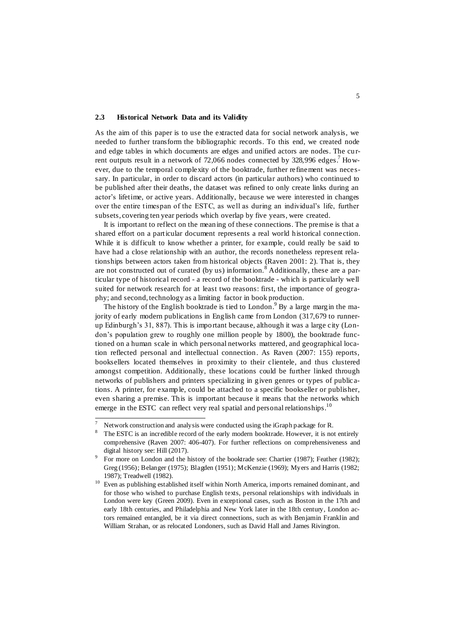#### **2.3 Historical Network Data and its Validity**

As the aim of this paper is to use the extracted data for social network analysis, we needed to further transform the bibliographic records. To this end, we created node and edge tables in which documents are edges and unified actors are nodes. The cu rrent outputs result in a network of 72,066 nodes connected by  $328,996$  edges.<sup>7</sup> However, due to the temporal complexity of the booktrade, further refinement was necessary. In particular, in order to discard actors (in particular authors) who continued to be published after their deaths, the dataset was refined to only create links during an actor's lifetime, or active years. Additionally, because we were interested in changes over the entire timespan of the ESTC, as well as during an individual's life, further subsets, covering ten year periods which overlap by five years, were created.

It is important to reflect on the meaning of these connections. The premise is that a shared effort on a particular document represents a real world historical connection. While it is difficult to know whether a printer, for example, could really be said to have had a close relationship with an author, the records nonetheless represent relationships between actors taken from historical objects (Raven 2001: 2). That is, they are not constructed out of curated (by us) information.<sup>8</sup> Additionally, these are a particular type of historical record - a record of the booktrade - which is particularly well suited for network research for at least two reasons: first, the importance of geography; and second, technology as a limiting factor in book production.

The history of the English booktrade is tied to London.<sup>9</sup> By a large margin the majority of early modern publications in English came from London (317,679 to runnerup Edinburgh's 31, 887). This is important because, although it was a large city (London's population grew to roughly one million people by 1800), the booktrade functioned on a human scale in which personal networks mattered, and geographical location reflected personal and intellectual connection. As Raven (2007: 155) reports, booksellers located themselves in proximity to their clientele, and thus clustered amongst competition. Additionally, these locations could be further linked through networks of publishers and printers specializing in given genres or types of public ations. A printer, for examp le, could be attached to a specific bookseller or publisher, even sharing a premise. This is important because it means that the networks which emerge in the ESTC can reflect very real spatial and personal relationships.<sup>10</sup>

 $\overline{a}$ 

The vector X Network construction and analysis were conducted using the iGraph package for R.<br><sup>8</sup> The ESTC is an incredible record of the exily modern booktrade. However, it is no

The ESTC is an incredible record of the early modern booktrade. However, it is not entirely comprehensive (Raven 2007: 406-407). For further reflections on comprehensiveness and digital history see: Hill (2017).

<sup>9</sup> For more on London and the history of the booktrade see: Chartier (1987); Feather (1982); Greg (1956); Belanger (1975); Blagden (1951); McKenzie (1969); Myers and Harris (1982; 1987); Treadwell (1982).

 $10$  Even as publishing established itself within North America, imports remained dominant, and for those who wished to purchase English texts, personal relationships with individuals in London were key (Green 2009). Even in exceptional cases, such as Boston in the 17th and early 18th centuries, and Philadelphia and New York later in the 18th century, London actors remained entangled, be it via direct connections, such as with Benjamin Franklin and William Strahan, or as relocated Londoners, such as David Hall and James Rivington.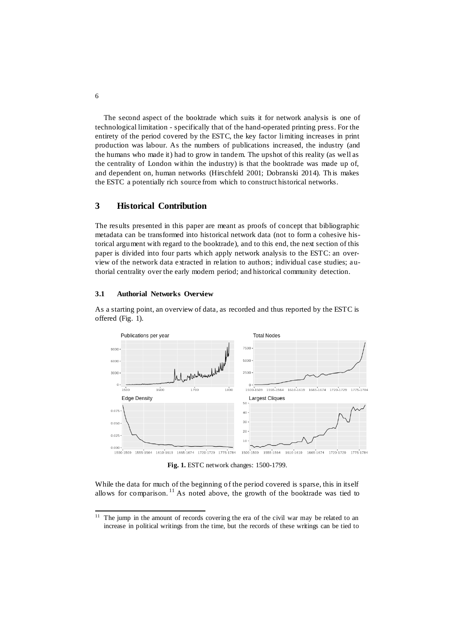The second aspect of the booktrade which suits it for network analysis is one of technological limitation - specifically that of the hand-operated printing press. For the entirety of the period covered by the ESTC, the key factor limiting increases in print production was labour. As the numbers of publications increased, the industry (and the humans who made it) had to grow in tandem. The upshot of this reality (as well as the centrality of London within the industry) is that the booktrade was made up of, and dependent on, human networks (Hirschfeld 2001; Dobranski 2014). Th is makes the ESTC a potentially rich source from which to construct historical networks.

#### **3 Historical Contribution**

The results presented in this paper are meant as proofs of concept that bibliographic metadata can be transformed into historical network data (not to form a cohesive historical argument with regard to the booktrade), and to this end, the next section of this paper is divided into four parts which apply network analysis to the ESTC: an overview of the network data extracted in relation to authors; individual case studies; authorial centrality over the early modern period; and historical community detection.

#### **3.1 Authorial Networks Overview**

As a starting point, an overview of data, as recorded and thus reported by the ESTC is offered (Fig. 1).



**Fig. 1.** ESTC network changes: 1500-1799.

While the data for much of the beginning of the period covered is sparse, this in itself allows for comparison.<sup>11</sup> As noted above, the growth of the booktrade was tied to

 $11\,$ The jump in the amount of records covering the era of the civil war may be related to an increase in political writings from the time, but the records of these writings can be tied to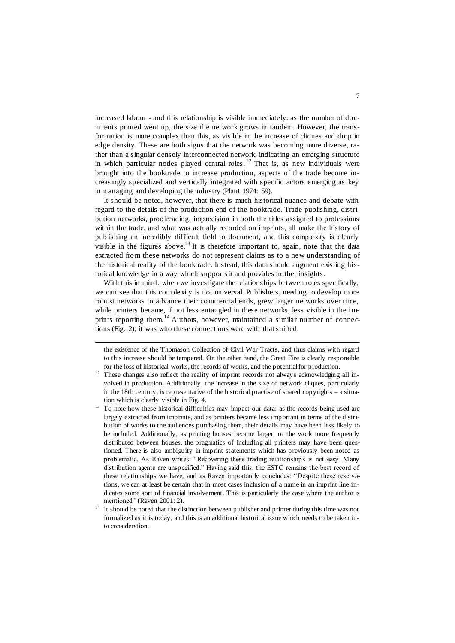increased labour - and this relationship is visible immediately: as the number of documents printed went up, the size the network grows in tandem. However, the transformation is more complex than this, as visible in the increase of cliques and drop in edge density. These are both signs that the network was becoming more diverse, rather than a singular densely interconnected network, indicating an emerging structure in which particular nodes played central roles.<sup>12</sup> That is, as new individuals were brought into the booktrade to increase production, aspects of the trade become increasingly specialized and vertically integrated with specific actors emerging as key in managing and developing the industry (Plant 1974: 59).

It should be noted, however, that there is much historical nuance and debate with regard to the details of the production end of the booktrade. Trade publishing, distribution networks, proofreading, imprecision in both the titles assigned to professions within the trade, and what was actually recorded on imprints, all make the history of publishing an incredibly difficult field to document, and this complexity is clearly visible in the figures above.<sup>13</sup> It is therefore important to, again, note that the data extracted from these networks do not represent claims as to a new understanding of the historical reality of the booktrade. Instead, this data should augment existing historical knowledge in a way which supports it and provides further insights.

With this in mind: when we investigate the relationships between roles specifically, we can see that this complexity is not universal. Publishers, needing to develop more robust networks to advance their commercial ends, grew larger networks over time, while printers became, if not less entangled in these networks, less visible in the imprints reporting them.<sup>14</sup> Authors, however, maintained a similar number of connections (Fig. 2); it was who these connections were with that shifted.

 $\overline{a}$ 

the existence of the Thomason Collection of Civil War Tracts, and thus claims with regard to this increase should be tempered. On the other hand, the Great Fire is clearly responsible for the loss of historical works, the records of works, and the potential for production.

 $12$  These changes also reflect the reality of imprint records not always acknowledging all involved in production. Additionally, the increase in the size of network cliques, particularly in the 18th century, is representative of the historical practise of shared copyrights – a situation which is clearly visible in Fig. 4.

<sup>&</sup>lt;sup>13</sup> To note how these historical difficulties may impact our data: as the records being used are largely extracted from imprints, and as printers became less important in terms of the distribution of works to the audiences purchasing them, their details may have been less likely to be included. Additionally, as printing houses became larger, or the work more frequently distributed between houses, the pragmatics of including all printers may have been questioned. There is also ambiguity in imprint statements which has previously been noted as problematic. As Raven writes: "Recovering these trading relationships is not easy. Many distribution agents are unspecified." Having said this, the ESTC remains the best record of these relationships we have, and as Raven importantly concludes: "Despite these reservations, we can at least be certain that in most cases inclusion of a name in an imprint line indicates some sort of financial involvement. This is particularly the case where the author is mentioned" (Raven 2001: 2).

<sup>&</sup>lt;sup>14</sup> It should be noted that the distinction between publisher and printer during this time was not formalized as it is today, and this is an additional historical issue which needs to be taken into consideration.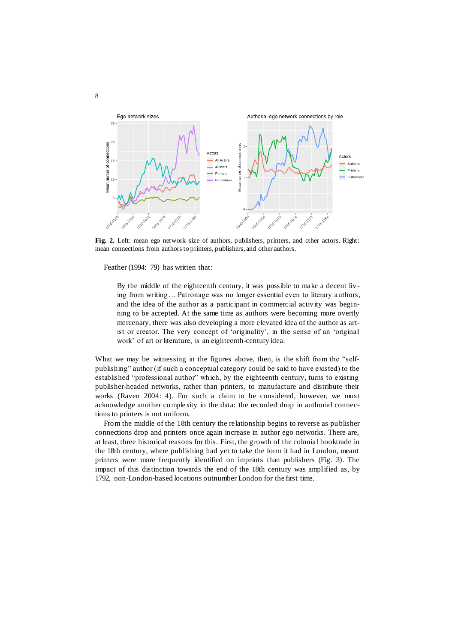

**Fig. 2.** Left: mean ego network size of authors, publishers, printers, and other actors. Right: mean connections from authors to printers, publishers, and other authors.

Feather (1994: 79) has written that:

By the middle of the eighteenth century, it was possible to make a decent living from writing… Patronage was no longer essential even to literary authors, and the idea of the author as a participant in commercial activity was beginning to be accepted. At the same time as authors were becoming more overtly mercenary, there was also developing a more elevated idea of the author as artist or creator. The very concept of 'originality', in the sense of an 'original work' of art or literature, is an eighteenth-century idea.

What we may be witnessing in the figures above, then, is the shift from the "selfpublishing" author (if such a conceptual category could be said to have existed) to the established "professional author" which, by the eighteenth century, turns to existing publisher-headed networks, rather than printers, to manufacture and distribute their works (Raven 2004: 4). For such a claim to be considered, however, we must acknowledge another complexity in the data: the recorded drop in authorial connections to printers is not uniform.

From the middle of the 18th century the relationship begins to reverse as publisher connections drop and printers once again increase in author ego networks. There are, at least, three historical reasons for this. First, the growth of the colonial booktrade in the 18th century, where publishing had yet to take the form it had in London, meant printers were more frequently identified on imprints than publishers (Fig. 3). The impact of this distinction towards the end of the 18th century was amplified as, by 1792, non-London-based locations outnumber London for the first time.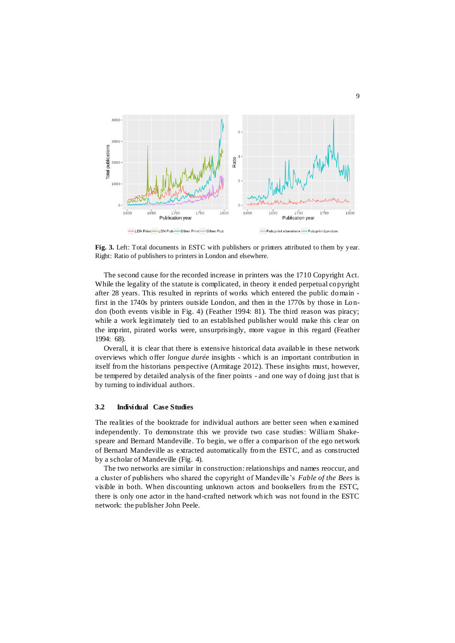

**Fig. 3.** Left: Total documents in ESTC with publishers or printers attributed to them by year. Right: Ratio of publishers to printers in London and elsewhere.

The second cause for the recorded increase in printers was the 1710 Copyright Act. While the legality of the statute is complicated, in theory it ended perpetual copyright after 28 years. This resulted in reprints of works which entered the public domain first in the 1740s by printers outside London, and then in the 1770s by those in Lo ndon (both events visible in Fig. 4) (Feather 1994: 81). The third reason was piracy; while a work legitimately tied to an established publisher would make this clear on the imprint, pirated works were, unsurprisingly, more vague in this regard (Feather 1994: 68).

Overall, it is clear that there is extensive historical data available in these network overviews which offer *longue durée* insights - which is an important contribution in itself from the historians perspective (Armitage 2012). These insights must, however, be tempered by detailed analysis of the finer points - and one way of doing just that is by turning to individual authors.

#### **3.2 Individual Case Studies**

The realities of the booktrade for individual authors are better seen when examined independently. To demonstrate this we provide two case studies: William Shakespeare and Bernard Mandeville. To begin, we offer a comparison of the ego network of Bernard Mandeville as extracted automatically from the ESTC, and as constructed by a scholar of Mandeville (Fig. 4).

The two networks are similar in construction: relationships and names reoccur, and a cluster of publishers who shared the copyright of Mandeville's *Fable of the Bees* is visible in both. When discounting unknown actors and booksellers from the ESTC, there is only one actor in the hand-crafted network which was not found in the ESTC network: the publisher John Peele.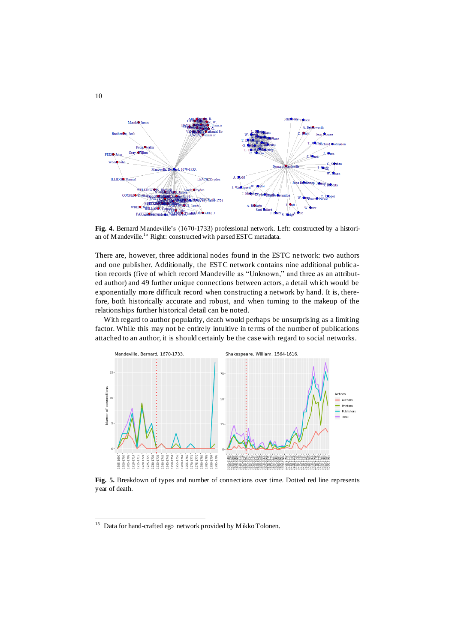

**Fig. 4.** Bernard Mandeville's (1670-1733) professional network. Left: constructed by a historian of Mandeville.<sup>15</sup> Right: constructed with parsed ESTC metadata.

There are, however, three additional nodes found in the ESTC network: two authors and one publisher. Additionally, the ESTC network contains nine additional publication records (five of which record Mandeville as "Unknown," and three as an attributed author) and 49 further unique connections between actors, a detail which would be exponentially more difficult record when constructing a network by hand. It is, therefore, both historically accurate and robust, and when turning to the makeup of the relationships further historical detail can be noted.

With regard to author popularity, death would perhaps be unsurprising as a limiting factor. While this may not be entirely intuitive in terms of the number of publications attached to an author, it is should certainly be the case with regard to social networks.



**Fig. 5.** Breakdown of types and number of connections over time. Dotted red line represents year of death.

l

<sup>&</sup>lt;sup>15</sup> Data for hand-crafted ego network provided by Mikko Tolonen.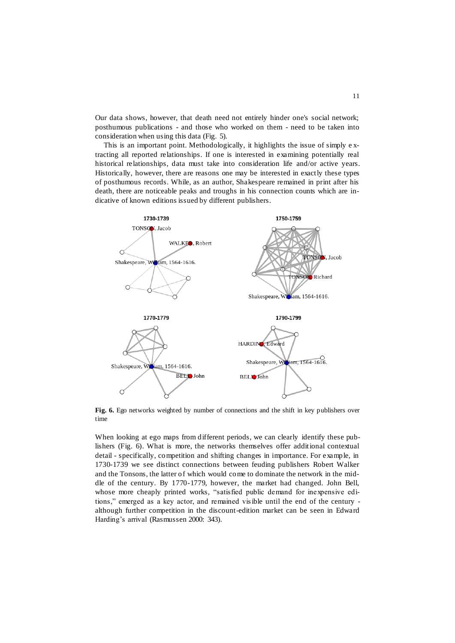Our data shows, however, that death need not entirely hinder one's social network; posthumous publications - and those who worked on them - need to be taken into consideration when using this data (Fig. 5).

This is an important point. Methodologically, it highlights the issue of simply e xtracting all reported relationships. If one is interested in examining potentially real historical relationships, data must take into consideration life and/or active years. Historically, however, there are reasons one may be interested in exactly these types of posthumous records. While, as an author, Shakespeare remained in print after his death, there are noticeable peaks and troughs in his connection counts which are indicative of known editions issued by different publishers.



**Fig. 6.** Ego networks weighted by number of connections and the shift in key publishers over time

When looking at ego maps from different periods, we can clearly identify these publishers (Fig. 6). What is more, the networks themselves offer additional contextual detail - specifically, competition and shifting changes in importance. For example, in 1730-1739 we see distinct connections between feuding publishers Robert Walker and the Tonsons, the latter of which would come to dominate the network in the middle of the century. By 1770-1779, however, the market had changed. John Bell, whose more cheaply printed works, "satisfied public demand for inexpensive editions," emerged as a key actor, and remained visible until the end of the century although further competition in the discount-edition market can be seen in Edward Harding's arrival (Rasmussen 2000: 343).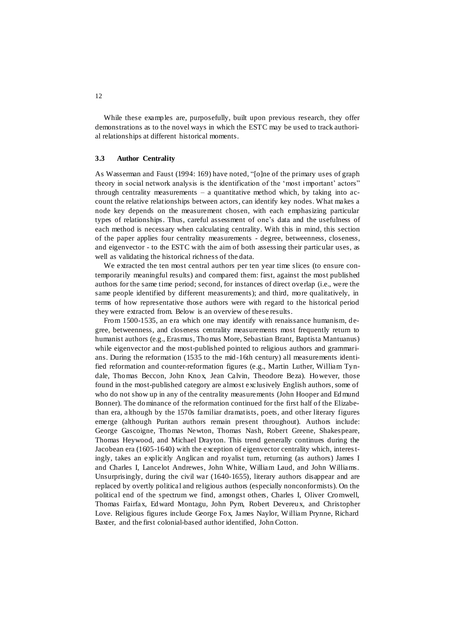While these examples are, purposefully, built upon previous research, they offer demonstrations as to the novel ways in which the ESTC may be used to track authorial relationships at different historical moments.

#### **3.3 Author Centrality**

As Wasserman and Faust (1994: 169) have noted, "[o]ne of the primary uses of graph theory in social network analysis is the identification of the 'most important' actors" through centrality measurements – a quantitative method which, by taking into account the relative relationships between actors, can identify key nodes. What makes a node key depends on the measurement chosen, with each emphasizing particular types of relationships. Thus, careful assessment of one's data and the usefulness of each method is necessary when calculating centrality. With this in mind, this section of the paper applies four centrality measurements - degree, betweenness, closeness, and eigenvector - to the ESTC with the aim of both assessing their particular uses, as well as validating the historical richness of the data.

We extracted the ten most central authors per ten year time slices (to ensure contemporarily meaningful results) and compared them: first, against the most published authors for the same time period; second, for instances of direct overlap (i.e., were the same people identified by different measurements); and third, more qualitatively, in terms of how representative those authors were with regard to the historical period they were extracted from. Below is an overview of these results.

From 1500-1535, an era which one may identify with renaissance humanism, degree, betweenness, and closeness centrality measurements most frequently return to humanist authors (e.g., Erasmus, Thomas More, Sebastian Brant, Baptista Mantuanus) while eigenvector and the most-published pointed to religious authors and grammarians. During the reformation (1535 to the mid-16th century) all measurements identified reformation and counter-reformation figures (e.g., Martin Luther, William Tyndale, Thomas Beccon, John Knox, Jean Calvin, Theodore Beza). However, those found in the most-published category are almost exclusively English authors, some of who do not show up in any of the centrality measurements (John Hooper and Edmund Bonner). The dominance of the reformation continued for the first half of the Elizabethan era, although by the 1570s familiar dramatists, poets, and other literary figures emerge (although Puritan authors remain present throughout). Authors include: George Gascoigne, Thomas Newton, Thomas Nash, Robert Greene, Shakespeare, Thomas Heywood, and Michael Drayton. This trend generally continues during the Jacobean era (1605-1640) with the exception of eigenvector centrality which, interestingly, takes an explicitly Anglican and royalist turn, returning (as authors) James I and Charles I, Lancelot Andrewes, John White, William Laud, and John Williams. Unsurprisingly, during the civil war (1640-1655), literary authors disappear and are replaced by overtly political and religious authors (especially nonconformists). On the political end of the spectrum we find, amongst others, Charles I, Oliver Cromwell, Thomas Fairfax, Edward Montagu, John Pym, Robert Devereux, and Christopher Love. Religious figures include George Fox, James Naylor, W illiam Prynne, Richard Baxter, and the first colonial-based author identified, John Cotton.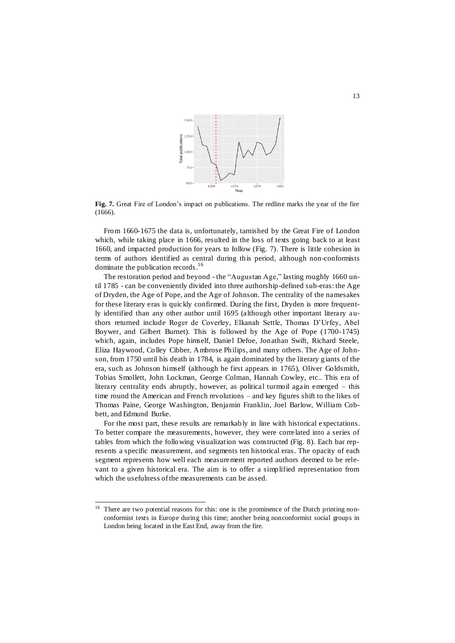

**Fig. 7.** Great Fire of London's impact on publications. The redline marks the year of the fire (1666).

From 1660-1675 the data is, unfortunately, tarnished by the Great Fire of London which, while taking place in 1666, resulted in the loss of texts going back to at least 1660, and impacted production for years to follow (Fig. 7). There is little cohesion in terms of authors identified as central during this period, although non-conformists dominate the publication records.<sup>16</sup>

The restoration period and beyond - the "Augustan Age," lasting roughly 1660 until 1785 - can be conveniently divided into three authorship-defined sub-eras: the Age of Dryden, the Age of Pope, and the Age of Johnson. The centrality of the namesakes for these literary eras is quickly confirmed. During the first, Dryden is more frequently identified than any other author until 1695 (although other important literary authors returned include Roger de Coverley, Elkanah Settle, Thomas D'Urfey, Abel Boywer, and Gilbert Burnet). This is followed by the Age of Pope (1700-1745) which, again, includes Pope himself, Daniel Defoe, Jonathan Swift, Richard Steele, Eliza Haywood, Colley Cibber, Ambrose Philips, and many others. The Age of Johnson, from 1750 until his death in 1784, is again dominated by the literary giants of the era, such as Johnson himself (although he first appears in 1765), Oliver Goldsmith, Tobias Smollett, John Lockman, George Colman, Hannah Cowley, etc.. This era of literary centrality ends abruptly, however, as political turmoil again emerged – this time round the American and French revolutions – and key figures shift to the likes of Thomas Paine, George Washington, Benjamin Franklin, Joel Barlow, William Cobbett, and Edmund Burke.

For the most part, these results are remarkably in line with historical expectations. To better compare the measurements, however, they were correlated into a series of tables from which the following visualization was constructed (Fig. 8). Each bar represents a specific measurement, and segments ten historical eras. The opacity of each segment represents how well each measurement reported authors deemed to be relevant to a given historical era. The aim is to offer a simplified representation from which the usefulness of the measurements can be assed.

l

 $16$  There are two potential reasons for this: one is the prominence of the Dutch printing nonconformist texts in Europe during this time; another being nonconformist social groups in London being located in the East End, away from the fire.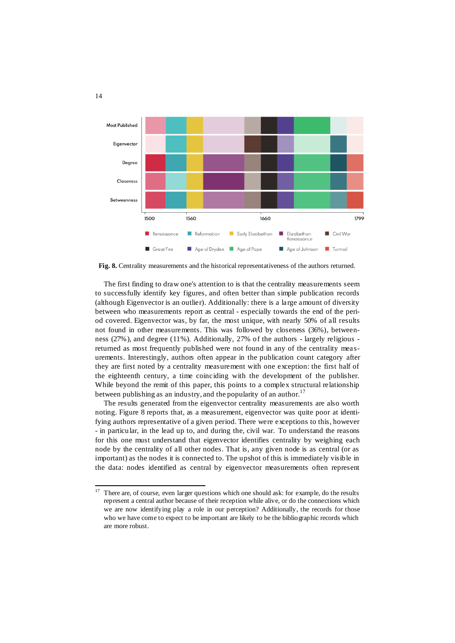

**Fig. 8.** Centrality measurements and the historical representativeness of the authors returned.

The first finding to draw one's attention to is that the centrality measurements seem to successfully identify key figures, and often better than simple publication records (although Eigenvector is an outlier). Additionally: there is a large amount of diversity between who measurements report as central - especially towards the end of the period covered. Eigenvector was, by far, the most unique, with nearly 50% of all results not found in other measurements. This was followed by closeness (36%), betweenness (27%), and degree (11%). Additionally, 27% of the authors - largely religious returned as most frequently published were not found in any of the centrality mea surements. Interestingly, authors often appear in the publication count category after they are first noted by a centrality measurement with one exception: the first half of the eighteenth century, a time coinciding with the development of the publisher. While beyond the remit of this paper, this points to a complex structural relationship between publishing as an industry, and the popularity of an author.<sup>17</sup>

The results generated from the eigenvector centrality measurements are also worth noting. Figure 8 reports that, as a measurement, eigenvector was quite poor at identifying authors representative of a given period. There were exceptions to this, however - in particular, in the lead up to, and during the, civil war. To understand the reasons for this one must understand that eigenvector identifies centrality by weighing each node by the centrality of all other nodes. That is, any given node is as central (or as important) as the nodes it is connected to. The upshot of this is immediately visible in the data: nodes identified as central by eigenvector measurements often represent

<sup>17</sup> <sup>17</sup> There are, of course, even larger questions which one should ask: for example, do the results represent a central author because of their reception while alive, or do the connections which we are now identifying play a role in our perception? Additionally, the records for those who we have come to expect to be important are likely to be the bibliographic records which are more robust.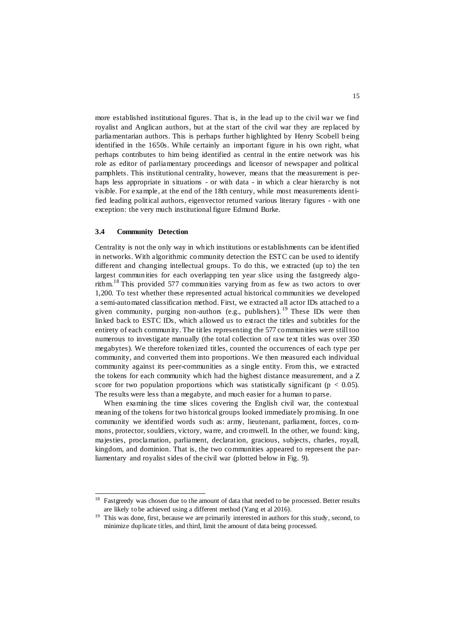more established institutional figures. That is, in the lead up to the civil war we find royalist and Anglican authors, but at the start of the civil war they are replaced by parliamentarian authors. This is perhaps further highlighted by Henry Scobell b eing identified in the 1650s. While certainly an important figure in his own right, what perhaps contributes to him being identified as central in the entire network was his role as editor of parliamentary proceedings and licensor of newspaper and political pamphlets. This institutional centrality, however, means that the measurement is perhaps less appropriate in situations - or with data - in which a clear hierarchy is not visible. For example, at the end of the 18th century, while most measurements identified leading political authors, eigenvector returned various literary figures - with one exception: the very much institutional figure Edmund Burke.

#### **3.4 Community Detection**

Centrality is not the only way in which institutions or establishments can be identified in networks. With algorithmic community detection the ESTC can be used to identify different and changing intellectual groups. To do this, we extracted (up to) the ten largest communities for each overlapping ten year slice using the fastgreedy algorithm.<sup>18</sup> This provided 577 communities varying from as few as two actors to over 1,200. To test whether these represented actual historical communities we developed a semi-automated classification method. First, we extracted all actor IDs attached to a given community, purging non-authors (e.g., publishers). <sup>19</sup> These IDs were then linked back to ESTC IDs, which allowed us to extract the titles and subtitles for the entirety of each community. The titles representing the 577 communities were still too numerous to investigate manually (the total collection of raw text titles was over 350 megabytes). We therefore tokenized titles, counted the occurrences of each type per community, and converted them into proportions. We then measured each individual community against its peer-communities as a single entity. From this, we extracted the tokens for each community which had the highest distance measurement, and a Z score for two population proportions which was statistically significant ( $p < 0.05$ ). The results were less than a megabyte, and much easier for a human to parse.

When examining the time slices covering the English civil war, the contextual meaning of the tokens for two historical groups looked immediately promising. In one community we identified words such as: army, lieutenant, parliament, forces, co mmons, protector, souldiers, victory, warre, and cromwell. In the other, we found: king, majesties, proclamation, parliament, declaration, gracious, subjects, charles, royall, kingdom, and dominion. That is, the two communities appeared to represent the parliamentary and royalist sides of the civil war (plotted below in Fig. 9).

<sup>18</sup> Fastgreedy was chosen due to the amount of data that needed to be processed. Better results are likely to be achieved using a different method (Yang et al 2016).

<sup>&</sup>lt;sup>19</sup> This was done, first, because we are primarily interested in authors for this study, second, to minimize duplicate titles, and third, limit the amount of data being processed.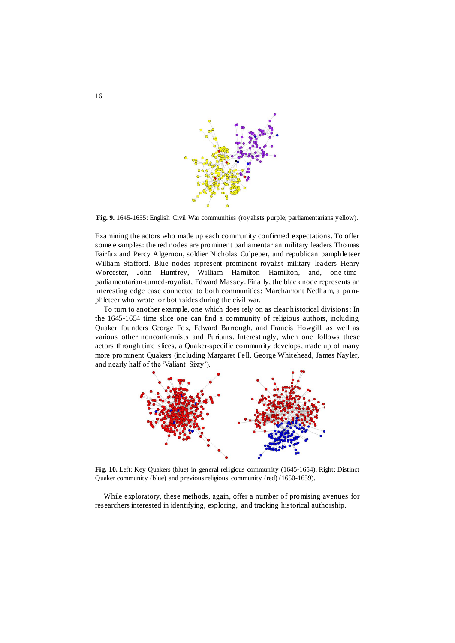

**Fig. 9.** 1645-1655: English Civil War communities (royalists purple; parliamentarians yellow).

Examining the actors who made up each community confirmed expectations. To offer some examples: the red nodes are prominent parliamentarian military leaders Thomas Fairfax and Percy Algernon, soldier Nicholas Culpeper, and republican pamphle teer William Stafford. Blue nodes represent prominent royalist military leaders Henry Worcester, John Humfrey, William Hamilton Hamilton, and, one-timeparliamentarian-turned-royalist, Edward Massey. Finally, the black node represents an interesting edge case connected to both communities: Marchamont Nedham, a pa mphleteer who wrote for both sides during the civil war.

To turn to another example, one which does rely on as clear historical divisions: In the 1645-1654 time slice one can find a community of religious authors, including Quaker founders George Fox, Edward Burrough, and Francis Howgill, as well as various other nonconformists and Puritans. Interestingly, when one follows these actors through time slices, a Quaker-specific community develops, made up of many more prominent Quakers (including Margaret Fell, George Whitehead, James Nayler, and nearly half of the 'Valiant Sixty').



**Fig. 10.** Left: Key Quakers (blue) in general religious community (1645-1654). Right: Distinct Quaker community (blue) and previous religious community (red) (1650-1659).

While exploratory, these methods, again, offer a number of promising avenues for researchers interested in identifying, exploring, and tracking historical authorship.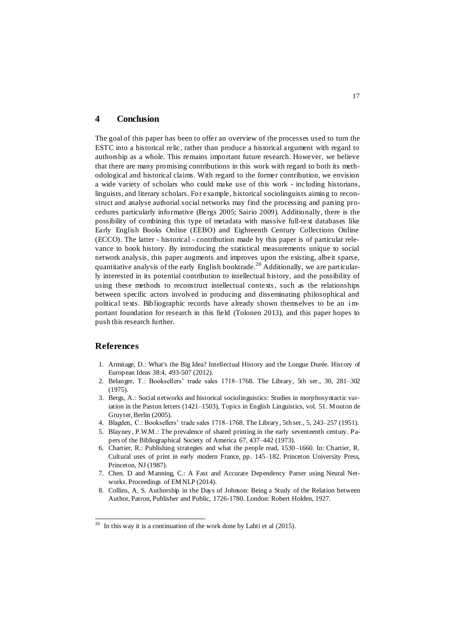#### **4 Conclusion**

The goal of this paper has been to offer an overview of the processes used to turn the ESTC into a historical relic, rather than produce a historical argument with regard to authorship as a whole. This remains important future research. However, we believe that there are many promising contributions in this work with regard to both its methodological and historical claims. With regard to the former contribution, we envision a wide variety of scholars who could make use of this work - including historians, linguists, and literary scholars. For example, historical sociolinguists aiming to reconstruct and analyse authorial social networks may find the processing and parsing procedures particularly informative (Bergs 2005; Sairio 2009). Additionally, there is the possibility of combining this type of metadata with massive full-text databases like Early English Books Online (EEBO) and Eighteenth Century Collections Online (ECCO). The latter - historical - contribution made by this paper is of particular relevance to book history. By introducing the statistical measurements unique to social network analysis, this paper augments and improves upon the existing, albeit sparse, quantitative analysis of the early English booktrade.<sup>20</sup> Additionally, we are particularly interested in its potential contribution to intellectual history, and the possibility of using these methods to reconstruct intellectual contexts, such as the relationships between specific actors involved in producing and disseminating philosophical and political texts. Bibliographic records have already shown themselves to be an important foundation for research in this field (Tolonen 2013), and this paper hopes to push this research further.

#### **References**

l

- 1. Armitage, D.: What's the Big Idea? Intellectual History and the Longue Durée. History of European Ideas 38:4, 493-507 (2012).
- 2. Belanger, T.: Booksellers' trade sales 1718–1768. The Library, 5th ser., 30, 281–302 (1975).
- 3. Bergs, A.: Social networks and historical sociolinguistics: Studies in morphosyntactic variation in the Paston letters (1421–1503), Topics in English Linguistics, vol. 51. Mouton de Gruyter, Berlin (2005).
- 4. Blagden, C.: Booksellers' trade sales 1718–1768. The Library, 5th ser., 5, 243–257 (1951).
- 5. Blayney, P.W.M.: The prevalence of shared printing in the early seventeenth century. Papers of the Bibliographical Society of America 67, 437–442 (1973).
- 6. Chartier, R.: Publishing strategies and what the people read, 1530–1660. In: Chartier, R. Cultural uses of print in early modern France, pp. 145–182. Princeton University Press, Princeton, NJ (1987).
- 7. Chen. D and Manning, C.: A Fast and Accurate Dependency Parser using Neural Networks. Proceedings of EMNLP (2014).
- 8. Collins, A. S. Authorship in the Days of Johnson: Being a Study of the Relation between Author, Patron, Publisher and Public, 1726-1780. London: Robert Holden, 1927.

<sup>&</sup>lt;sup>20</sup> In this way it is a continuation of the work done by Lahti et al  $(2015)$ .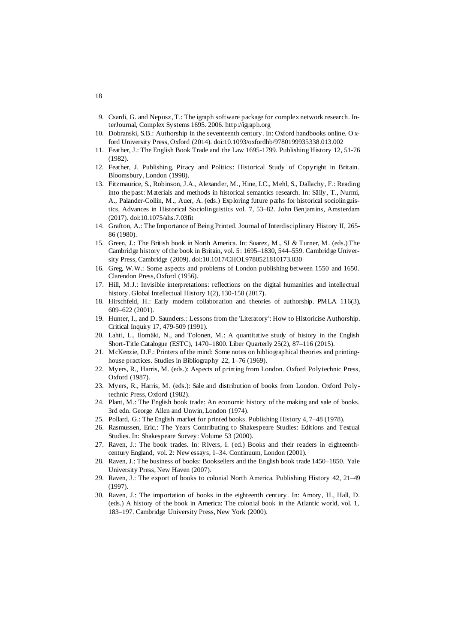- 9. Csardi, G. and Nepusz, T.: The igraph software package for complex network research. InterJournal, Complex Systems 1695. 2006. http://igraph.org
- 10. Dobranski, S.B.: Authorship in the seventeenth century. In: Oxford handbooks online. O xford University Press, Oxford (2014). doi:10.1093/oxfordhb/9780199935338.013.002
- 11. Feather, J.: The English Book Trade and the Law 1695-1799. Publishing History 12, 51-76 (1982).
- 12. Feather, J. Publishing, Piracy and Politics: Historical Study of Copyright in Britain. Bloomsbury, London (1998).
- 13. Fitzmaurice, S., Robinson, J.A., Alexander, M., Hine, I.C., Mehl, S., Dallachy, F.: Reading into the past: Materials and methods in historical semantics research. In: Säily, T., Nurmi, A., Palander-Collin, M., Auer, A. (eds.) Exploring future paths for historical sociolinguistics, Advances in Historical Sociolinguistics vol. 7, 53–82. John Benjamins, Amsterdam (2017). doi:10.1075/ahs.7.03fit
- 14. Grafton, A.: The Importance of Being Printed. Journal of Interdisciplinary History II, 265- 86 (1980).
- 15. Green, J.: The British book in North America. In: Suarez, M., SJ & Turner, M. (eds.) The Cambridge history of the book in Britain, vol. 5: 1695–1830, 544–559. Cambridge University Press, Cambridge (2009). doi:10.1017/CHOL9780521810173.030
- 16. Greg, W.W.: Some aspects and problems of London publishing between 1550 and 1650. Clarendon Press, Oxford (1956).
- 17. Hill, M.J.: Invisible interpretations: reflections on the digital humanities and intellectual history. Global Intellectual History 1(2), 130-150 (2017).
- 18. Hirschfeld, H.: Early modern collaboration and theories of authorship. PMLA 116(3), 609–622 (2001).
- 19. Hunter, I., and D. Saunders.: Lessons from the 'Literatory': How to Historicise Authorship. Critical Inquiry 17, 479-509 (1991).
- 20. Lahti, L., Ilomäki, N., and Tolonen, M.: A quantitative study of history in the English Short-Title Catalogue (ESTC), 1470–1800. Liber Quarterly 25(2), 87–116 (2015).
- 21. McKenzie, D.F.: Printers of the mind: Some notes on bibliographical theories and printinghouse practices. Studies in Bibliography 22, 1–76 (1969).
- 22. Myers, R., Harris, M. (eds.): Aspects of printing from London. Oxford Polytechnic Press, Oxford (1987).
- 23. Myers, R., Harris, M. (eds.): Sale and distribution of books from London. Oxford Polytechnic Press, Oxford (1982).
- 24. Plant, M.: The English book trade: An economic history of the making and sale of books. 3rd edn. George Allen and Unwin, London (1974).
- 25. Pollard, G.: The English market for printed books. Publishing History 4, 7–48 (1978).
- 26. Rasmussen, Eric.: The Years Contributing to Shakespeare Studies: Editions and Textual Studies. In: Shakespeare Survey: Volume 53 (2000).
- 27. Raven, J.: The book trades. In: Rivers, I. (ed.) Books and their readers in eighteenthcentury England, vol. 2: New essays, 1–34. Continuum, London (2001).
- 28. Raven, J.: The business of books: Booksellers and the English book trade 1450–1850. Yale University Press, New Haven (2007).
- 29. Raven, J.: The export of books to colonial North America. Publishing History 42, 21–49 (1997).
- 30. Raven, J.: The importation of books in the eighteenth century. In: Amory, H., Hall, D. (eds.) A history of the book in America: The colonial book in the Atlantic world, vol. 1, 183–197. Cambridge University Press, New York (2000).

18